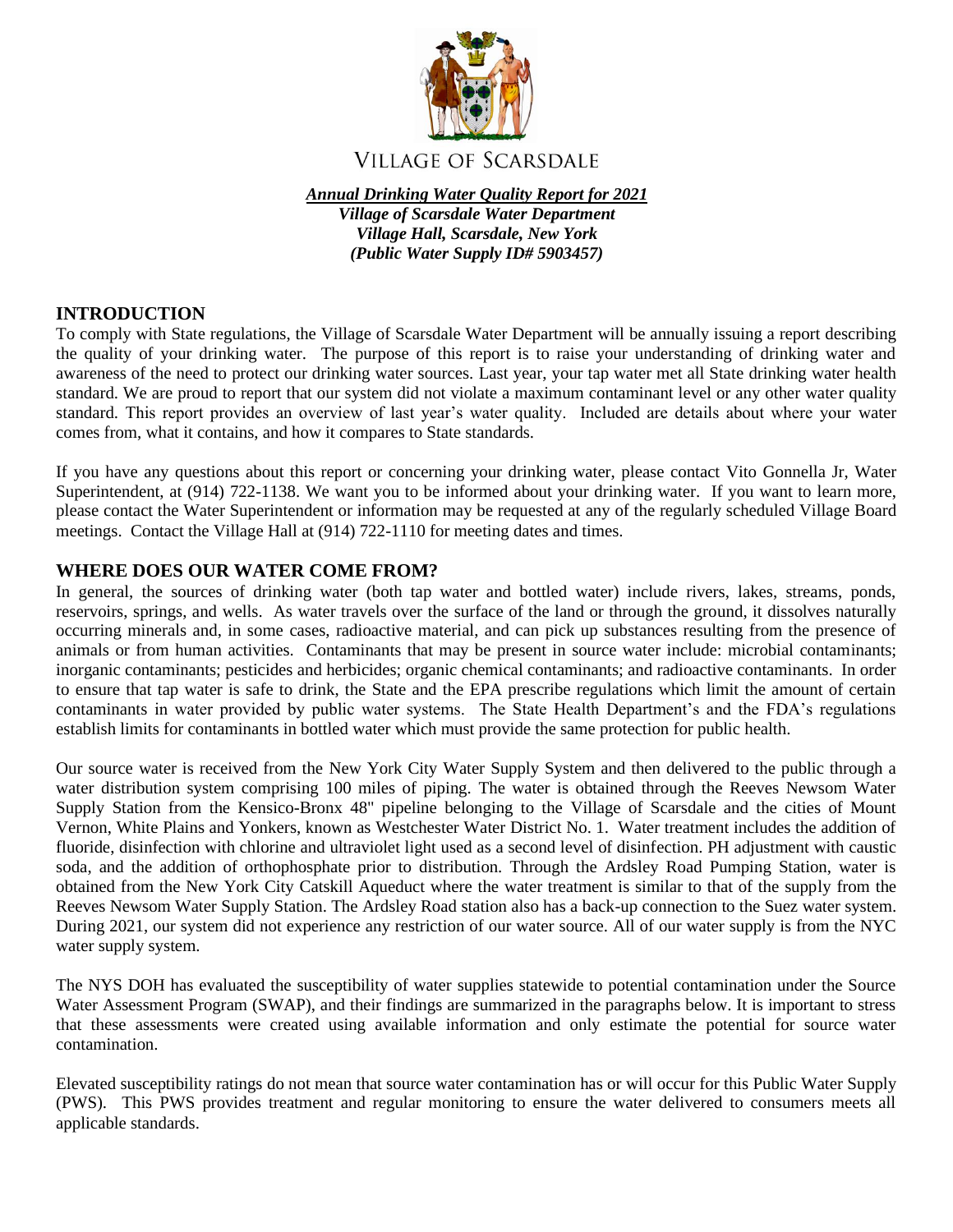

# **VILLAGE OF SCARSDALE**

*Annual Drinking Water Quality Report for 2021*

*Village of Scarsdale Water Department Village Hall, Scarsdale, New York (Public Water Supply ID# 5903457)*

## **INTRODUCTION**

To comply with State regulations, the Village of Scarsdale Water Department will be annually issuing a report describing the quality of your drinking water. The purpose of this report is to raise your understanding of drinking water and awareness of the need to protect our drinking water sources. Last year, your tap water met all State drinking water health standard. We are proud to report that our system did not violate a maximum contaminant level or any other water quality standard. This report provides an overview of last year's water quality. Included are details about where your water comes from, what it contains, and how it compares to State standards.

If you have any questions about this report or concerning your drinking water, please contact Vito Gonnella Jr, Water Superintendent, at (914) 722-1138. We want you to be informed about your drinking water. If you want to learn more, please contact the Water Superintendent or information may be requested at any of the regularly scheduled Village Board meetings. Contact the Village Hall at (914) 722-1110 for meeting dates and times.

### **WHERE DOES OUR WATER COME FROM?**

In general, the sources of drinking water (both tap water and bottled water) include rivers, lakes, streams, ponds, reservoirs, springs, and wells. As water travels over the surface of the land or through the ground, it dissolves naturally occurring minerals and, in some cases, radioactive material, and can pick up substances resulting from the presence of animals or from human activities. Contaminants that may be present in source water include: microbial contaminants; inorganic contaminants; pesticides and herbicides; organic chemical contaminants; and radioactive contaminants. In order to ensure that tap water is safe to drink, the State and the EPA prescribe regulations which limit the amount of certain contaminants in water provided by public water systems. The State Health Department's and the FDA's regulations establish limits for contaminants in bottled water which must provide the same protection for public health.

Our source water is received from the New York City Water Supply System and then delivered to the public through a water distribution system comprising 100 miles of piping. The water is obtained through the Reeves Newsom Water Supply Station from the Kensico-Bronx 48" pipeline belonging to the Village of Scarsdale and the cities of Mount Vernon, White Plains and Yonkers, known as Westchester Water District No. 1. Water treatment includes the addition of fluoride, disinfection with chlorine and ultraviolet light used as a second level of disinfection. PH adjustment with caustic soda, and the addition of orthophosphate prior to distribution. Through the Ardsley Road Pumping Station, water is obtained from the New York City Catskill Aqueduct where the water treatment is similar to that of the supply from the Reeves Newsom Water Supply Station. The Ardsley Road station also has a back-up connection to the Suez water system. During 2021, our system did not experience any restriction of our water source. All of our water supply is from the NYC water supply system.

The NYS DOH has evaluated the susceptibility of water supplies statewide to potential contamination under the Source Water Assessment Program (SWAP), and their findings are summarized in the paragraphs below. It is important to stress that these assessments were created using available information and only estimate the potential for source water contamination.

Elevated susceptibility ratings do not mean that source water contamination has or will occur for this Public Water Supply (PWS). This PWS provides treatment and regular monitoring to ensure the water delivered to consumers meets all applicable standards.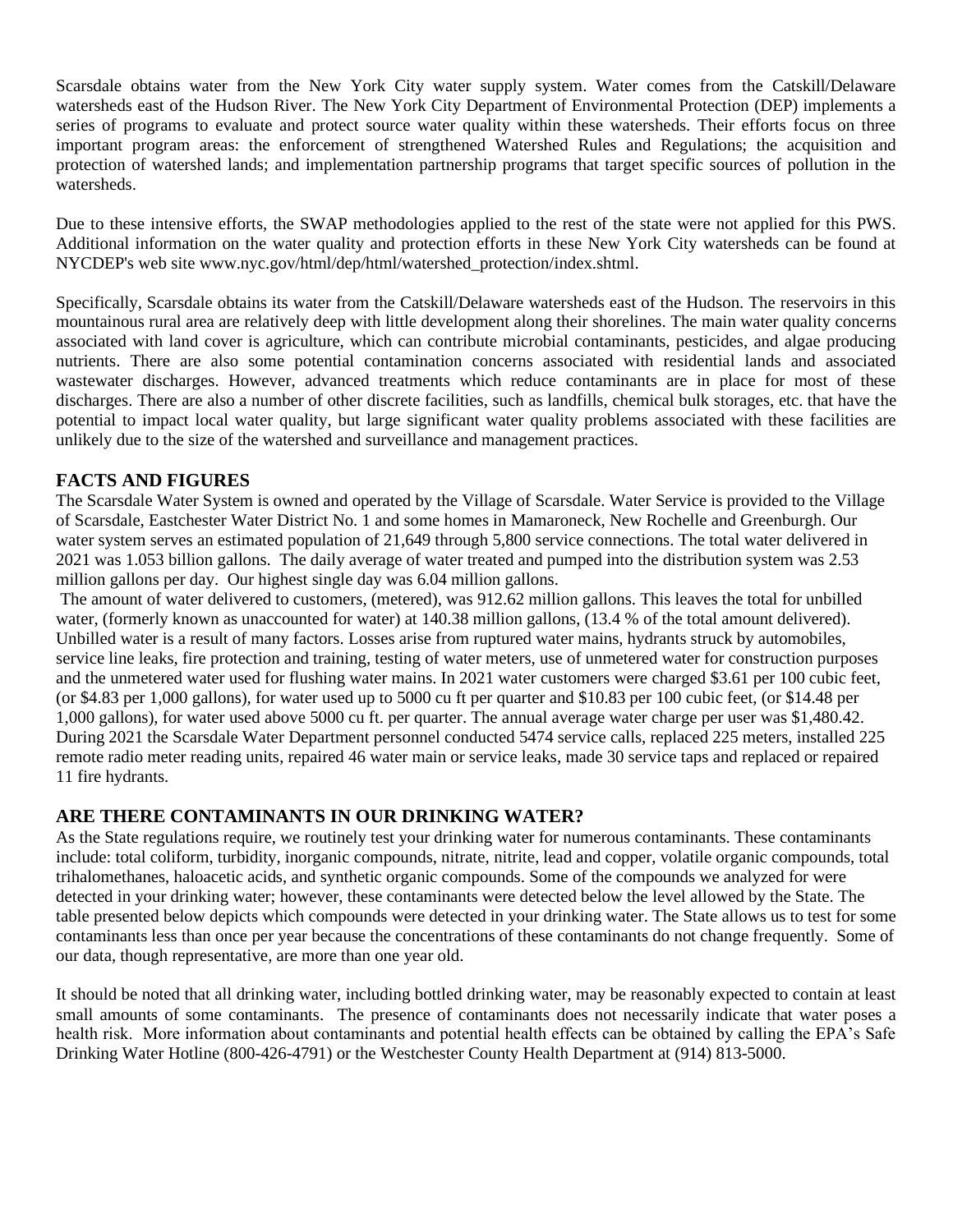Scarsdale obtains water from the New York City water supply system. Water comes from the Catskill/Delaware watersheds east of the Hudson River. The New York City Department of Environmental Protection (DEP) implements a series of programs to evaluate and protect source water quality within these watersheds. Their efforts focus on three important program areas: the enforcement of strengthened Watershed Rules and Regulations; the acquisition and protection of watershed lands; and implementation partnership programs that target specific sources of pollution in the watersheds.

Due to these intensive efforts, the SWAP methodologies applied to the rest of the state were not applied for this PWS. Additional information on the water quality and protection efforts in these New York City watersheds can be found at NYCDEP's web site www.nyc.gov/html/dep/html/watershed\_protection/index.shtml.

Specifically, Scarsdale obtains its water from the Catskill/Delaware watersheds east of the Hudson. The reservoirs in this mountainous rural area are relatively deep with little development along their shorelines. The main water quality concerns associated with land cover is agriculture, which can contribute microbial contaminants, pesticides, and algae producing nutrients. There are also some potential contamination concerns associated with residential lands and associated wastewater discharges. However, advanced treatments which reduce contaminants are in place for most of these discharges. There are also a number of other discrete facilities, such as landfills, chemical bulk storages, etc. that have the potential to impact local water quality, but large significant water quality problems associated with these facilities are unlikely due to the size of the watershed and surveillance and management practices.

## **FACTS AND FIGURES**

The Scarsdale Water System is owned and operated by the Village of Scarsdale. Water Service is provided to the Village of Scarsdale, Eastchester Water District No. 1 and some homes in Mamaroneck, New Rochelle and Greenburgh. Our water system serves an estimated population of 21,649 through 5,800 service connections. The total water delivered in 2021 was 1.053 billion gallons. The daily average of water treated and pumped into the distribution system was 2.53 million gallons per day. Our highest single day was 6.04 million gallons.

The amount of water delivered to customers, (metered), was 912.62 million gallons. This leaves the total for unbilled water, (formerly known as unaccounted for water) at 140.38 million gallons, (13.4 % of the total amount delivered). Unbilled water is a result of many factors. Losses arise from ruptured water mains, hydrants struck by automobiles, service line leaks, fire protection and training, testing of water meters, use of unmetered water for construction purposes and the unmetered water used for flushing water mains. In 2021 water customers were charged \$3.61 per 100 cubic feet, (or \$4.83 per 1,000 gallons), for water used up to 5000 cu ft per quarter and \$10.83 per 100 cubic feet, (or \$14.48 per 1,000 gallons), for water used above 5000 cu ft. per quarter. The annual average water charge per user was \$1,480.42. During 2021 the Scarsdale Water Department personnel conducted 5474 service calls, replaced 225 meters, installed 225 remote radio meter reading units, repaired 46 water main or service leaks, made 30 service taps and replaced or repaired 11 fire hydrants.

## **ARE THERE CONTAMINANTS IN OUR DRINKING WATER?**

As the State regulations require, we routinely test your drinking water for numerous contaminants. These contaminants include: total coliform, turbidity, inorganic compounds, nitrate, nitrite, lead and copper, volatile organic compounds, total trihalomethanes, haloacetic acids, and synthetic organic compounds. Some of the compounds we analyzed for were detected in your drinking water; however, these contaminants were detected below the level allowed by the State. The table presented below depicts which compounds were detected in your drinking water. The State allows us to test for some contaminants less than once per year because the concentrations of these contaminants do not change frequently. Some of our data, though representative, are more than one year old.

It should be noted that all drinking water, including bottled drinking water, may be reasonably expected to contain at least small amounts of some contaminants. The presence of contaminants does not necessarily indicate that water poses a health risk. More information about contaminants and potential health effects can be obtained by calling the EPA's Safe Drinking Water Hotline (800-426-4791) or the Westchester County Health Department at (914) 813-5000.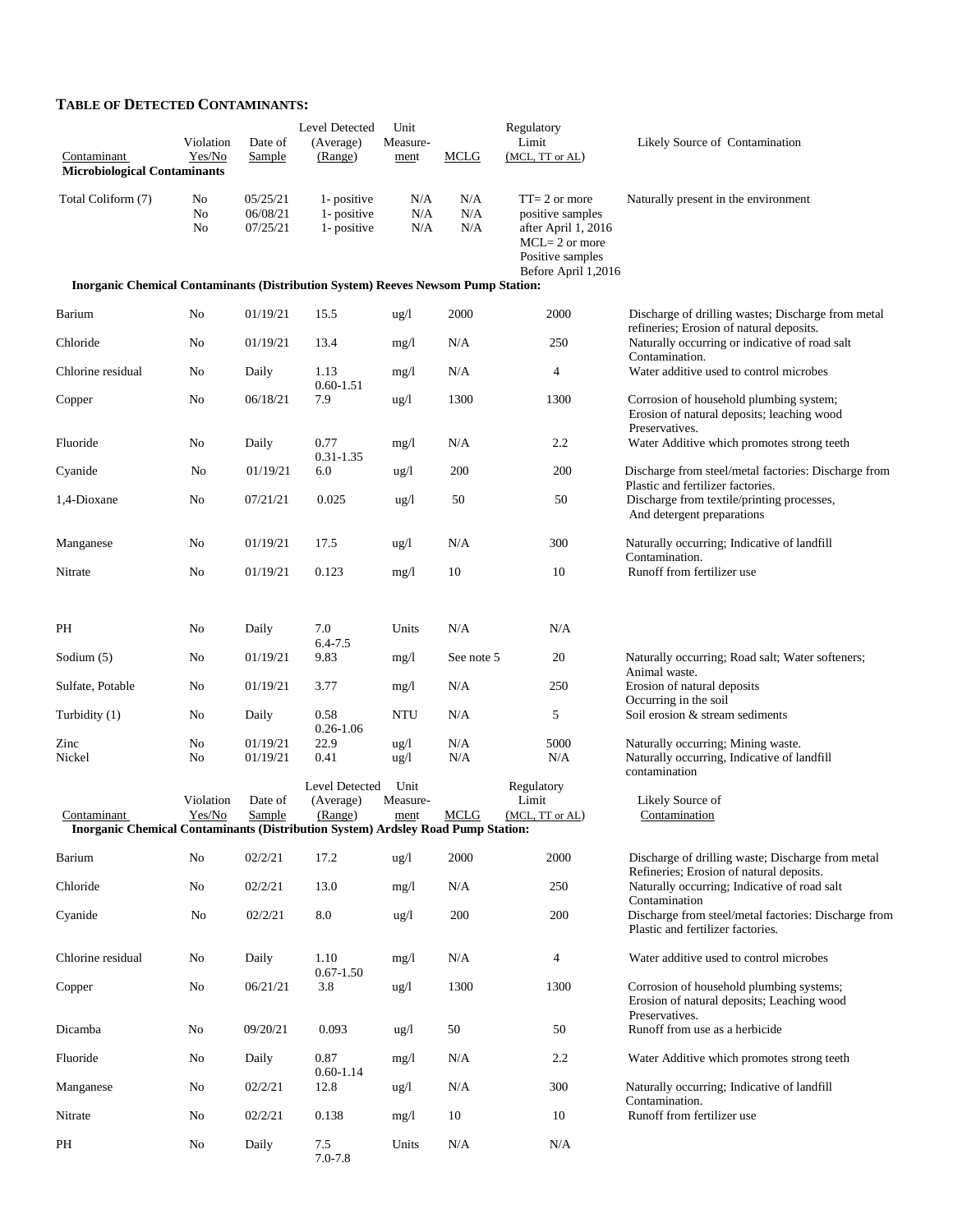#### **TABLE OF DETECTED CONTAMINANTS:**

|                                                                                                 | Level Detected<br>Unit<br>Regulatory |                                  |                                           |                          |                   |                                                                                                                             |                                                                                                          |
|-------------------------------------------------------------------------------------------------|--------------------------------------|----------------------------------|-------------------------------------------|--------------------------|-------------------|-----------------------------------------------------------------------------------------------------------------------------|----------------------------------------------------------------------------------------------------------|
| Contaminant<br><b>Microbiological Contaminants</b>                                              | Violation<br>Yes/No                  | Date of<br><b>Sample</b>         | (Average)<br>(Range)                      | Measure-<br>ment         | <b>MCLG</b>       | Limit<br>(MCL, TT or AL)                                                                                                    | Likely Source of Contamination                                                                           |
| Total Coliform (7)                                                                              | No<br>No<br>No                       | 05/25/21<br>06/08/21<br>07/25/21 | 1- positive<br>1- positive<br>1- positive | N/A<br>N/A<br>N/A        | N/A<br>N/A<br>N/A | $TT = 2$ or more<br>positive samples<br>after April 1, 2016<br>$MCL = 2$ or more<br>Positive samples<br>Before April 1,2016 | Naturally present in the environment                                                                     |
| <b>Inorganic Chemical Contaminants (Distribution System) Reeves Newsom Pump Station:</b>        |                                      |                                  |                                           |                          |                   |                                                                                                                             |                                                                                                          |
| Barium                                                                                          | No                                   | 01/19/21                         | 15.5                                      | ug/l                     | 2000              | 2000                                                                                                                        | Discharge of drilling wastes; Discharge from metal<br>refineries; Erosion of natural deposits.           |
| Chloride                                                                                        | No                                   | 01/19/21                         | 13.4                                      | mg/1                     | N/A               | 250                                                                                                                         | Naturally occurring or indicative of road salt<br>Contamination.                                         |
| Chlorine residual                                                                               | No                                   | Daily                            | 1.13<br>$0.60 - 1.51$                     | mg/l                     | N/A               | 4                                                                                                                           | Water additive used to control microbes                                                                  |
| Copper                                                                                          | No                                   | 06/18/21                         | 7.9                                       | ug/l                     | 1300              | 1300                                                                                                                        | Corrosion of household plumbing system;<br>Erosion of natural deposits; leaching wood<br>Preservatives.  |
| Fluoride                                                                                        | No                                   | Daily                            | 0.77<br>$0.31 - 1.35$                     | mg/1                     | N/A               | 2.2                                                                                                                         | Water Additive which promotes strong teeth                                                               |
| Cyanide                                                                                         | No                                   | 01/19/21                         | 6.0                                       | $\frac{u g}{l}$          | 200               | 200                                                                                                                         | Discharge from steel/metal factories: Discharge from<br>Plastic and fertilizer factories.                |
| 1,4-Dioxane                                                                                     | No                                   | 07/21/21                         | 0.025                                     | ug/l                     | 50                | 50                                                                                                                          | Discharge from textile/printing processes,<br>And detergent preparations                                 |
| Manganese                                                                                       | No                                   | 01/19/21                         | 17.5                                      | ug/l                     | N/A               | 300                                                                                                                         | Naturally occurring; Indicative of landfill<br>Contamination.                                            |
| Nitrate                                                                                         | No                                   | 01/19/21                         | 0.123                                     | mg/1                     | 10                | 10                                                                                                                          | Runoff from fertilizer use                                                                               |
| PH                                                                                              | No                                   | Daily                            | 7.0<br>$6.4 - 7.5$                        | Units                    | N/A               | N/A                                                                                                                         |                                                                                                          |
| Sodium $(5)$                                                                                    | No                                   | 01/19/21                         | 9.83                                      | mg/1                     | See note 5        | 20                                                                                                                          | Naturally occurring; Road salt; Water softeners;<br>Animal waste.                                        |
| Sulfate, Potable                                                                                | No                                   | 01/19/21                         | 3.77                                      | mg/1                     | N/A               | 250                                                                                                                         | Erosion of natural deposits<br>Occurring in the soil                                                     |
| Turbidity (1)                                                                                   | No                                   | Daily                            | 0.58<br>$0.26 - 1.06$                     | <b>NTU</b>               | N/A               | 5                                                                                                                           | Soil erosion & stream sediments                                                                          |
| Zinc<br>Nickel                                                                                  | No<br>No                             | 01/19/21<br>01/19/21             | 22.9<br>0.41                              | ug/l<br>ug/l             | N/A<br>N/A        | 5000<br>N/A                                                                                                                 | Naturally occurring; Mining waste.<br>Naturally occurring, Indicative of landfill<br>contamination       |
| Contaminant<br>Inorganic Chemical Contaminants (Distribution System) Ardsley Road Pump Station: | Violation<br>Yes/No                  | Date of<br>Sample                | Level Detected<br>(Average)<br>(Range)    | Unit<br>Measure-<br>ment | <b>MCLG</b>       | Regulatory<br>Limit<br>(MCL, TT or AL)                                                                                      | Likely Source of<br>Contamination                                                                        |
| Barium                                                                                          | No                                   | 02/2/21                          | 17.2                                      | $\frac{u g}{l}$          | 2000              | 2000                                                                                                                        | Discharge of drilling waste; Discharge from metal                                                        |
| Chloride                                                                                        | No                                   | 02/2/21                          | 13.0                                      | mg/1                     | N/A               | 250                                                                                                                         | Refineries; Erosion of natural deposits.<br>Naturally occurring; Indicative of road salt                 |
| Cyanide                                                                                         | No                                   | 02/2/21                          | 8.0                                       | ug/l                     | 200               | 200                                                                                                                         | Contamination<br>Discharge from steel/metal factories: Discharge from                                    |
|                                                                                                 |                                      |                                  |                                           |                          |                   |                                                                                                                             | Plastic and fertilizer factories.                                                                        |
| Chlorine residual                                                                               | No                                   | Daily                            | 1.10<br>$0.67 - 1.50$                     | mg/1                     | N/A               | 4                                                                                                                           | Water additive used to control microbes                                                                  |
| Copper                                                                                          | No                                   | 06/21/21                         | 3.8                                       | $\frac{u g}{l}$          | 1300              | 1300                                                                                                                        | Corrosion of household plumbing systems;<br>Erosion of natural deposits; Leaching wood<br>Preservatives. |
| Dicamba                                                                                         | No                                   | 09/20/21                         | 0.093                                     | $\frac{u g}{l}$          | 50                | 50                                                                                                                          | Runoff from use as a herbicide                                                                           |
| Fluoride                                                                                        | No                                   | Daily                            | 0.87<br>$0.60 - 1.14$                     | mg/1                     | N/A               | 2.2                                                                                                                         | Water Additive which promotes strong teeth                                                               |
| Manganese                                                                                       | No                                   | 02/2/21                          | 12.8                                      | $\frac{u g}{l}$          | N/A               | 300                                                                                                                         | Naturally occurring; Indicative of landfill<br>Contamination.                                            |
| Nitrate                                                                                         | No                                   | 02/2/21                          | 0.138                                     | mg/1                     | 10                | 10                                                                                                                          | Runoff from fertilizer use                                                                               |
| PH                                                                                              | No                                   | Daily                            | 7.5<br>$7.0 - 7.8$                        | Units                    | N/A               | N/A                                                                                                                         |                                                                                                          |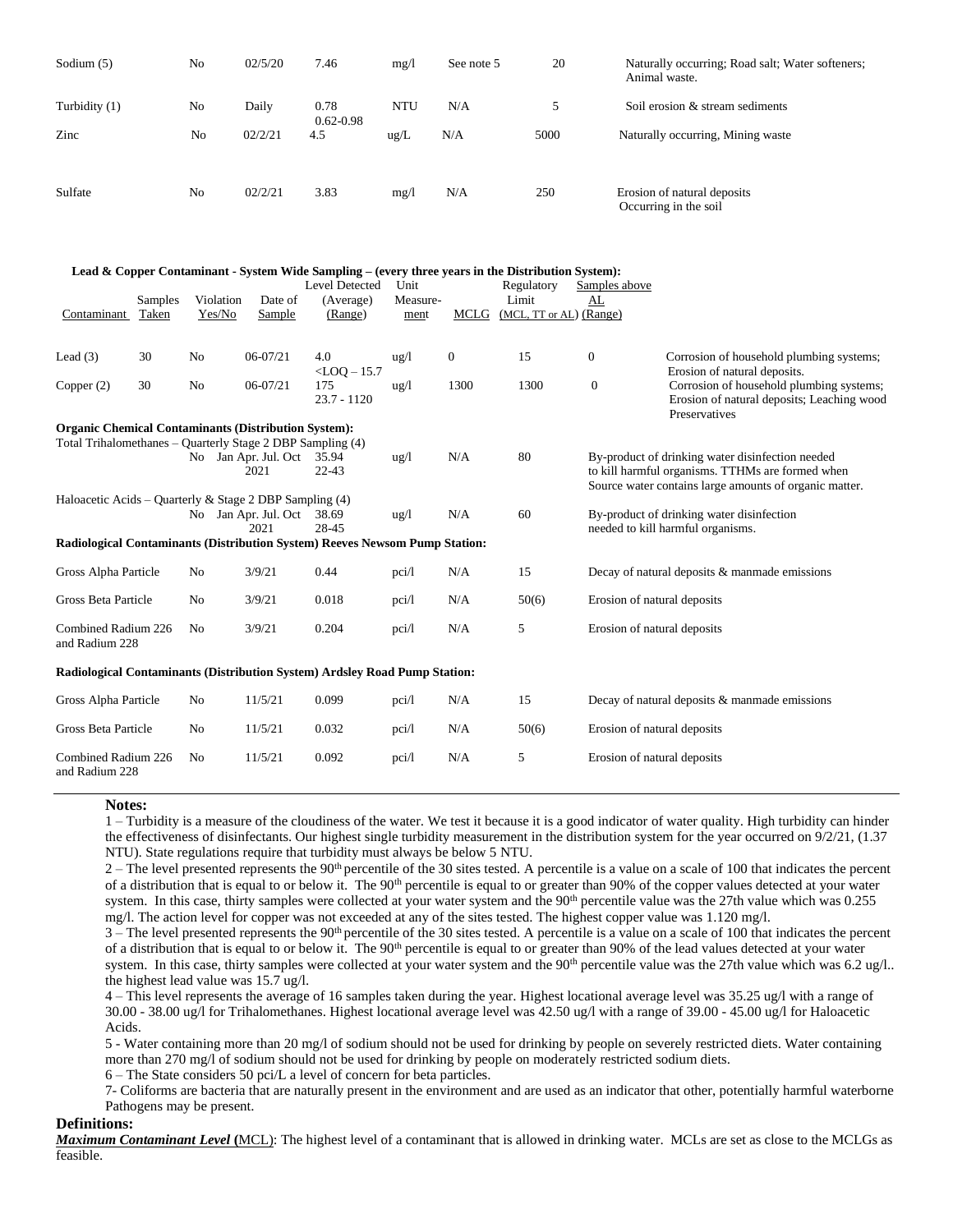| Sodium $(5)$                                                |         | No                  | 02/5/20                            | 7.46                                                                                                                        | mg/1             | See note 5       | 20                                    |                  | Naturally occurring; Road salt; Water softeners;<br>Animal waste.                                                                                              |  |
|-------------------------------------------------------------|---------|---------------------|------------------------------------|-----------------------------------------------------------------------------------------------------------------------------|------------------|------------------|---------------------------------------|------------------|----------------------------------------------------------------------------------------------------------------------------------------------------------------|--|
| Turbidity (1)                                               |         | No                  | Daily                              | 0.78<br>$0.62 - 0.98$                                                                                                       | <b>NTU</b>       | N/A              | 5                                     |                  | Soil erosion & stream sediments                                                                                                                                |  |
| Zinc                                                        |         | No                  | 02/2/21                            | 4.5                                                                                                                         | ug/L             | N/A              | 5000                                  |                  | Naturally occurring, Mining waste                                                                                                                              |  |
| Sulfate                                                     |         | No                  | 02/2/21                            | 3.83                                                                                                                        | mg/1             | N/A              | 250                                   |                  | Erosion of natural deposits<br>Occurring in the soil                                                                                                           |  |
|                                                             |         |                     |                                    | Lead & Copper Contaminant - System Wide Sampling – (every three years in the Distribution System):<br><b>Level Detected</b> | Unit             |                  | Regulatory                            | Samples above    |                                                                                                                                                                |  |
| Contaminant Taken                                           | Samples | Violation<br>Yes/No | Date of<br>Sample                  | (Average)<br>(Range)                                                                                                        | Measure-<br>ment |                  | Limit<br>MCLG (MCL, TT or AL) (Range) | AL               |                                                                                                                                                                |  |
| Lead $(3)$                                                  | 30      | No                  | 06-07/21                           | 4.0                                                                                                                         | $\frac{u g}{l}$  | $\boldsymbol{0}$ | 15                                    | $\boldsymbol{0}$ | Corrosion of household plumbing systems;                                                                                                                       |  |
| Copper (2)                                                  | 30      | No                  | 06-07/21                           | $<$ LOQ $-$ 15.7<br>175<br>$23.7 - 1120$                                                                                    | $\frac{u g}{l}$  | 1300             | 1300                                  | $\boldsymbol{0}$ | Erosion of natural deposits.<br>Corrosion of household plumbing systems;<br>Erosion of natural deposits; Leaching wood<br>Preservatives                        |  |
| <b>Organic Chemical Contaminants (Distribution System):</b> |         |                     | No Jan Apr. Jul. Oct 35.94<br>2021 | Total Trihalomethanes - Quarterly Stage 2 DBP Sampling (4)<br>$22 - 43$                                                     | $\frac{u g}{l}$  | N/A              | 80                                    |                  | By-product of drinking water disinfection needed<br>to kill harmful organisms. TTHMs are formed when<br>Source water contains large amounts of organic matter. |  |
| Haloacetic Acids - Quarterly & Stage 2 DBP Sampling (4)     |         |                     | No Jan Apr. Jul. Oct 38.69<br>2021 | 28-45<br>Radiological Contaminants (Distribution System) Reeves Newsom Pump Station:                                        | $\frac{u g}{l}$  | N/A              | 60                                    |                  | By-product of drinking water disinfection<br>needed to kill harmful organisms.                                                                                 |  |
|                                                             |         |                     |                                    |                                                                                                                             |                  |                  |                                       |                  |                                                                                                                                                                |  |
| Gross Alpha Particle                                        |         | No                  | 3/9/21                             | 0.44                                                                                                                        | pci/l            | N/A              | 15                                    |                  | Decay of natural deposits $&$ manmade emissions                                                                                                                |  |
| Gross Beta Particle                                         |         | No                  | 3/9/21                             | 0.018                                                                                                                       | pci/l            | N/A              | 50(6)                                 |                  | Erosion of natural deposits                                                                                                                                    |  |
| Combined Radium 226<br>and Radium 228                       |         | No                  | 3/9/21                             | 0.204                                                                                                                       | pci/l            | N/A              | 5                                     |                  | Erosion of natural deposits                                                                                                                                    |  |
|                                                             |         |                     |                                    | Radiological Contaminants (Distribution System) Ardsley Road Pump Station:                                                  |                  |                  |                                       |                  |                                                                                                                                                                |  |
| Gross Alpha Particle                                        |         | N <sub>0</sub>      | 11/5/21                            | 0.099                                                                                                                       | pci/l            | N/A              | 15                                    |                  | Decay of natural deposits $&$ manmade emissions                                                                                                                |  |
| Gross Beta Particle                                         |         | No                  | 11/5/21                            | 0.032                                                                                                                       | pci/l            | N/A              | 50(6)                                 |                  | Erosion of natural deposits                                                                                                                                    |  |
| Combined Radium 226<br>and Radium 228                       |         | No                  | 11/5/21                            | 0.092                                                                                                                       | pci/l            | N/A              | 5                                     |                  | Erosion of natural deposits                                                                                                                                    |  |

#### **Notes:**

1 – Turbidity is a measure of the cloudiness of the water. We test it because it is a good indicator of water quality. High turbidity can hinder the effectiveness of disinfectants. Our highest single turbidity measurement in the distribution system for the year occurred on 9/2/21, (1.37 NTU). State regulations require that turbidity must always be below 5 NTU.

 $2 -$  The level presented represents the 90<sup>th</sup> percentile of the 30 sites tested. A percentile is a value on a scale of 100 that indicates the percent of a distribution that is equal to or below it. The 90<sup>th</sup> percentile is equal to or greater than 90% of the copper values detected at your water system. In this case, thirty samples were collected at your water system and the 90<sup>th</sup> percentile value was the 27th value which was 0.255 mg/l. The action level for copper was not exceeded at any of the sites tested. The highest copper value was 1.120 mg/l.

 $3$  – The level presented represents the 90<sup>th</sup> percentile of the 30 sites tested. A percentile is a value on a scale of 100 that indicates the percent of a distribution that is equal to or below it. The 90<sup>th</sup> percentile is equal to or greater than 90% of the lead values detected at your water system. In this case, thirty samples were collected at your water system and the  $90<sup>th</sup>$  percentile value was the 27th value which was 6.2 ug/l.. the highest lead value was 15.7 ug/l.

4 – This level represents the average of 16 samples taken during the year. Highest locational average level was 35.25 ug/l with a range of 30.00 - 38.00 ug/l for Trihalomethanes. Highest locational average level was 42.50 ug/l with a range of 39.00 - 45.00 ug/l for Haloacetic Acids.

5 - Water containing more than 20 mg/l of sodium should not be used for drinking by people on severely restricted diets. Water containing more than 270 mg/l of sodium should not be used for drinking by people on moderately restricted sodium diets.

6 – The State considers 50 pci/L a level of concern for beta particles.

 7- Coliforms are bacteria that are naturally present in the environment and are used as an indicator that other, potentially harmful waterborne Pathogens may be present.

#### **Definitions:**

*Maximum Contaminant Level* **(**MCL): The highest level of a contaminant that is allowed in drinking water. MCLs are set as close to the MCLGs as feasible.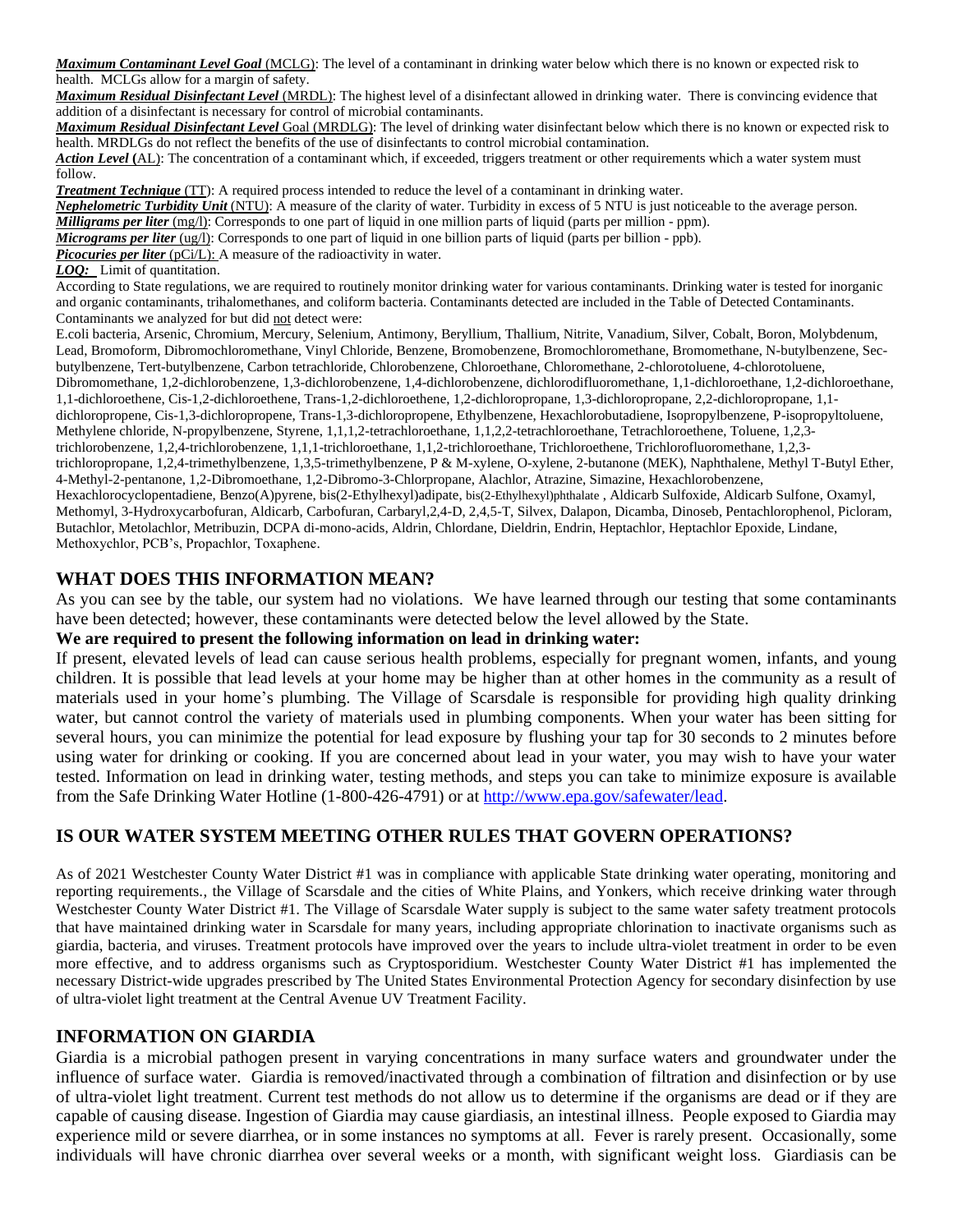*Maximum Contaminant Level Goal* (MCLG): The level of a contaminant in drinking water below which there is no known or expected risk to health. MCLGs allow for a margin of safety.

*Maximum Residual Disinfectant Level* (MRDL): The highest level of a disinfectant allowed in drinking water. There is convincing evidence that addition of a disinfectant is necessary for control of microbial contaminants.

*Maximum Residual Disinfectant Level* Goal (MRDLG): The level of drinking water disinfectant below which there is no known or expected risk to health. MRDLGs do not reflect the benefits of the use of disinfectants to control microbial contamination.

*Action Level* **(**AL): The concentration of a contaminant which, if exceeded, triggers treatment or other requirements which a water system must follow.

*Treatment Technique* (TT): A required process intended to reduce the level of a contaminant in drinking water.

*Nephelometric Turbidity Unit* (NTU): A measure of the clarity of water. Turbidity in excess of 5 NTU is just noticeable to the average person.

*Milligrams per liter* (mg/l): Corresponds to one part of liquid in one million parts of liquid (parts per million - ppm).

*Micrograms per liter* (ug/l): Corresponds to one part of liquid in one billion parts of liquid (parts per billion - ppb). *Picocuries per liter* (pCi/L): A measure of the radioactivity in water.

*LOQ:* Limit of quantitation.

According to State regulations, we are required to routinely monitor drinking water for various contaminants. Drinking water is tested for inorganic and organic contaminants, trihalomethanes, and coliform bacteria. Contaminants detected are included in the Table of Detected Contaminants. Contaminants we analyzed for but did not detect were:

E.coli bacteria, Arsenic, Chromium, Mercury, Selenium, Antimony, Beryllium, Thallium, Nitrite, Vanadium, Silver, Cobalt, Boron, Molybdenum, Lead, Bromoform, Dibromochloromethane, Vinyl Chloride, Benzene, Bromobenzene, Bromochloromethane, Bromomethane, N-butylbenzene, Secbutylbenzene, Tert-butylbenzene, Carbon tetrachloride, Chlorobenzene, Chloroethane, Chloromethane, 2-chlorotoluene, 4-chlorotoluene, Dibromomethane, 1,2-dichlorobenzene, 1,3-dichlorobenzene, 1,4-dichlorobenzene, dichlorodifluoromethane, 1,1-dichloroethane, 1,2-dichloroethane, 1,1-dichloroethene, Cis-1,2-dichloroethene, Trans-1,2-dichloroethene, 1,2-dichloropropane, 1,3-dichloropropane, 2,2-dichloropropane, 1,1 dichloropropene, Cis-1,3-dichloropropene, Trans-1,3-dichloropropene, Ethylbenzene, Hexachlorobutadiene, Isopropylbenzene, P-isopropyltoluene, Methylene chloride, N-propylbenzene, Styrene, 1,1,1,2-tetrachloroethane, 1,1,2,2-tetrachloroethane, Tetrachloroethene, Toluene, 1,2,3 trichlorobenzene, 1,2,4-trichlorobenzene, 1,1,1-trichloroethane, 1,1,2-trichloroethane, Trichloroethene, Trichlorofluoromethane, 1,2,3 trichloropropane, 1,2,4-trimethylbenzene, 1,3,5-trimethylbenzene, P & M-xylene, O-xylene, 2-butanone (MEK), Naphthalene, Methyl T-Butyl Ether, 4-Methyl-2-pentanone, 1,2-Dibromoethane, 1,2-Dibromo-3-Chlorpropane, Alachlor, Atrazine, Simazine, Hexachlorobenzene, Hexachlorocyclopentadiene, Benzo(A)pyrene, bis(2-Ethylhexyl)adipate, bis(2-Ethylhexyl)phthalate , Aldicarb Sulfoxide, Aldicarb Sulfone, Oxamyl, Methomyl, 3-Hydroxycarbofuran, Aldicarb, Carbofuran, Carbaryl,2,4-D, 2,4,5-T, Silvex, Dalapon, Dicamba, Dinoseb, Pentachlorophenol, Picloram, Butachlor, Metolachlor, Metribuzin, DCPA di-mono-acids, Aldrin, Chlordane, Dieldrin, Endrin, Heptachlor, Heptachlor Epoxide, Lindane, Methoxychlor, PCB's, Propachlor, Toxaphene.

## **WHAT DOES THIS INFORMATION MEAN?**

As you can see by the table, our system had no violations. We have learned through our testing that some contaminants have been detected; however, these contaminants were detected below the level allowed by the State.

#### **We are required to present the following information on lead in drinking water:**

If present, elevated levels of lead can cause serious health problems, especially for pregnant women, infants, and young children. It is possible that lead levels at your home may be higher than at other homes in the community as a result of materials used in your home's plumbing. The Village of Scarsdale is responsible for providing high quality drinking water, but cannot control the variety of materials used in plumbing components. When your water has been sitting for several hours, you can minimize the potential for lead exposure by flushing your tap for 30 seconds to 2 minutes before using water for drinking or cooking. If you are concerned about lead in your water, you may wish to have your water tested. Information on lead in drinking water, testing methods, and steps you can take to minimize exposure is available from the Safe Drinking Water Hotline (1-800-426-4791) or at [http://www.epa.gov/safewater/lead.](http://www.epa.gov/safewater/lead)

# **IS OUR WATER SYSTEM MEETING OTHER RULES THAT GOVERN OPERATIONS?**

As of 2021 Westchester County Water District #1 was in compliance with applicable State drinking water operating, monitoring and reporting requirements., the Village of Scarsdale and the cities of White Plains, and Yonkers, which receive drinking water through Westchester County Water District #1. The Village of Scarsdale Water supply is subject to the same water safety treatment protocols that have maintained drinking water in Scarsdale for many years, including appropriate chlorination to inactivate organisms such as giardia, bacteria, and viruses. Treatment protocols have improved over the years to include ultra-violet treatment in order to be even more effective, and to address organisms such as Cryptosporidium. Westchester County Water District #1 has implemented the necessary District-wide upgrades prescribed by The United States Environmental Protection Agency for secondary disinfection by use of ultra-violet light treatment at the Central Avenue UV Treatment Facility.

#### **INFORMATION ON GIARDIA**

Giardia is a microbial pathogen present in varying concentrations in many surface waters and groundwater under the influence of surface water. Giardia is removed/inactivated through a combination of filtration and disinfection or by use of ultra-violet light treatment. Current test methods do not allow us to determine if the organisms are dead or if they are capable of causing disease. Ingestion of Giardia may cause giardiasis, an intestinal illness. People exposed to Giardia may experience mild or severe diarrhea, or in some instances no symptoms at all. Fever is rarely present. Occasionally, some individuals will have chronic diarrhea over several weeks or a month, with significant weight loss. Giardiasis can be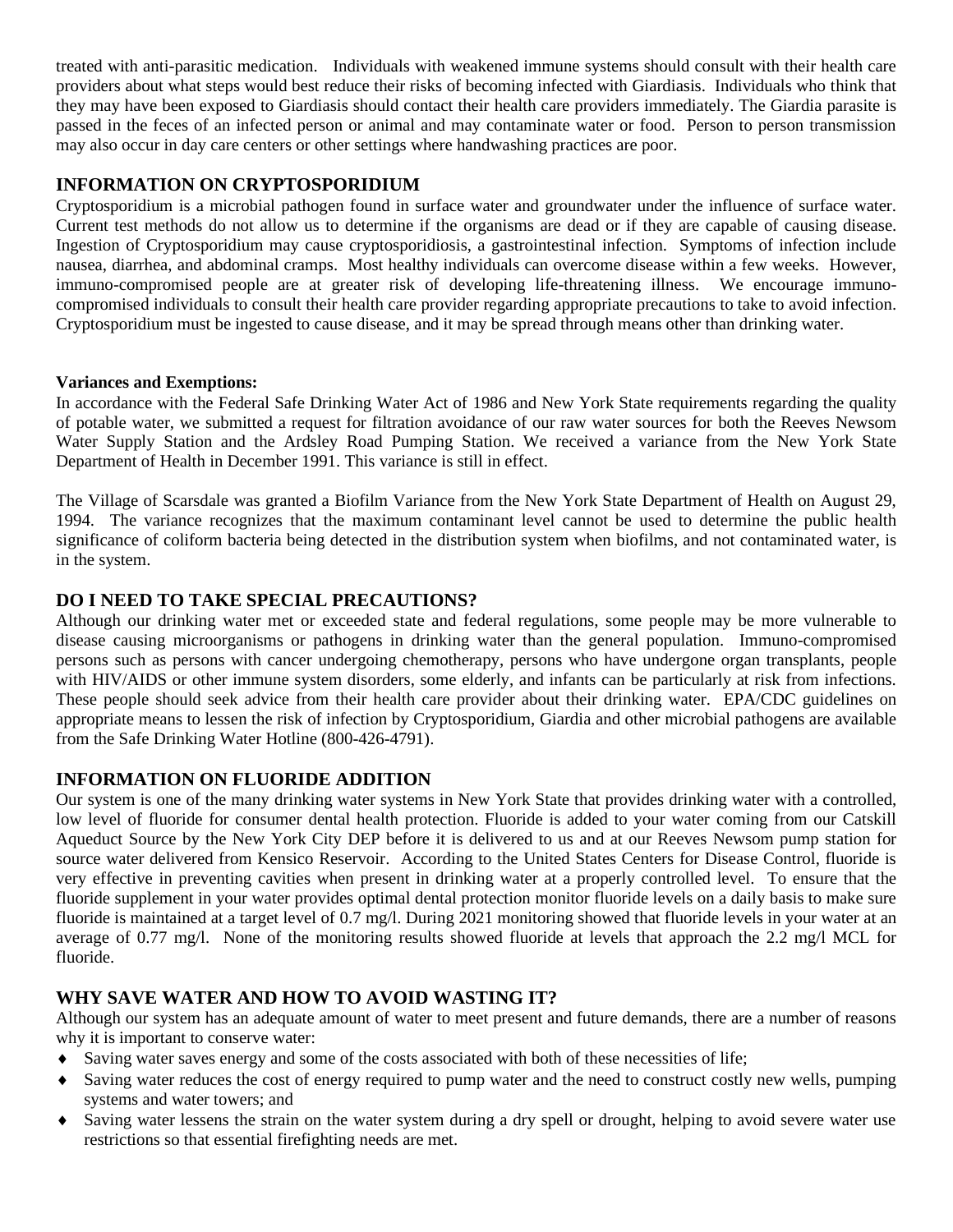treated with anti-parasitic medication. Individuals with weakened immune systems should consult with their health care providers about what steps would best reduce their risks of becoming infected with Giardiasis. Individuals who think that they may have been exposed to Giardiasis should contact their health care providers immediately. The Giardia parasite is passed in the feces of an infected person or animal and may contaminate water or food. Person to person transmission may also occur in day care centers or other settings where handwashing practices are poor.

## **INFORMATION ON CRYPTOSPORIDIUM**

Cryptosporidium is a microbial pathogen found in surface water and groundwater under the influence of surface water. Current test methods do not allow us to determine if the organisms are dead or if they are capable of causing disease. Ingestion of Cryptosporidium may cause cryptosporidiosis, a gastrointestinal infection. Symptoms of infection include nausea, diarrhea, and abdominal cramps. Most healthy individuals can overcome disease within a few weeks. However, immuno-compromised people are at greater risk of developing life-threatening illness. We encourage immunocompromised individuals to consult their health care provider regarding appropriate precautions to take to avoid infection. Cryptosporidium must be ingested to cause disease, and it may be spread through means other than drinking water.

### **Variances and Exemptions:**

In accordance with the Federal Safe Drinking Water Act of 1986 and New York State requirements regarding the quality of potable water, we submitted a request for filtration avoidance of our raw water sources for both the Reeves Newsom Water Supply Station and the Ardsley Road Pumping Station. We received a variance from the New York State Department of Health in December 1991. This variance is still in effect.

The Village of Scarsdale was granted a Biofilm Variance from the New York State Department of Health on August 29, 1994. The variance recognizes that the maximum contaminant level cannot be used to determine the public health significance of coliform bacteria being detected in the distribution system when biofilms, and not contaminated water, is in the system.

## **DO I NEED TO TAKE SPECIAL PRECAUTIONS?**

Although our drinking water met or exceeded state and federal regulations, some people may be more vulnerable to disease causing microorganisms or pathogens in drinking water than the general population. Immuno-compromised persons such as persons with cancer undergoing chemotherapy, persons who have undergone organ transplants, people with HIV/AIDS or other immune system disorders, some elderly, and infants can be particularly at risk from infections. These people should seek advice from their health care provider about their drinking water. EPA/CDC guidelines on appropriate means to lessen the risk of infection by Cryptosporidium, Giardia and other microbial pathogens are available from the Safe Drinking Water Hotline (800-426-4791).

# **INFORMATION ON FLUORIDE ADDITION**

Our system is one of the many drinking water systems in New York State that provides drinking water with a controlled, low level of fluoride for consumer dental health protection. Fluoride is added to your water coming from our Catskill Aqueduct Source by the New York City DEP before it is delivered to us and at our Reeves Newsom pump station for source water delivered from Kensico Reservoir. According to the United States Centers for Disease Control, fluoride is very effective in preventing cavities when present in drinking water at a properly controlled level. To ensure that the fluoride supplement in your water provides optimal dental protection monitor fluoride levels on a daily basis to make sure fluoride is maintained at a target level of 0.7 mg/l. During 2021 monitoring showed that fluoride levels in your water at an average of 0.77 mg/l. None of the monitoring results showed fluoride at levels that approach the 2.2 mg/l MCL for fluoride.

# **WHY SAVE WATER AND HOW TO AVOID WASTING IT?**

Although our system has an adequate amount of water to meet present and future demands, there are a number of reasons why it is important to conserve water:

- Saving water saves energy and some of the costs associated with both of these necessities of life;
- Saving water reduces the cost of energy required to pump water and the need to construct costly new wells, pumping systems and water towers; and
- Saving water lessens the strain on the water system during a dry spell or drought, helping to avoid severe water use restrictions so that essential firefighting needs are met.